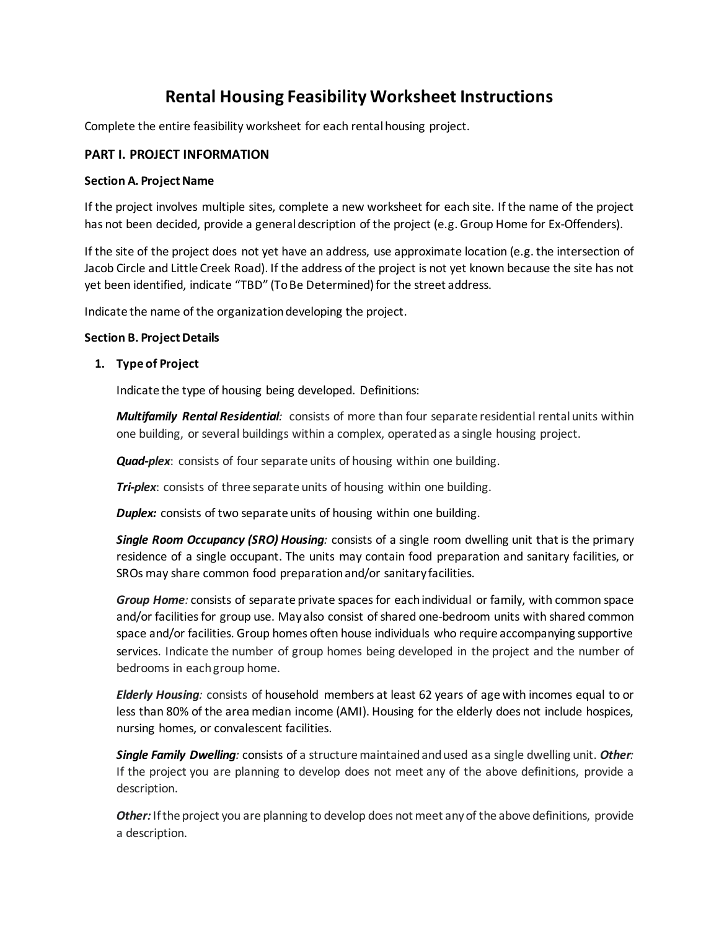## **Rental Housing Feasibility Worksheet Instructions**

Complete the entire feasibility worksheet for each rental housing project.

### **PART I. PROJECT INFORMATION**

#### **Section A. Project Name**

If the project involves multiple sites, complete a new worksheet for each site. If the name of the project has not been decided, provide a general description of the project (e.g. Group Home for Ex-Offenders).

If the site of the project does not yet have an address, use approximate location (e.g. the intersection of Jacob Circle and Little Creek Road). If the address of the project is not yet known because the site has not yet been identified, indicate "TBD" (To Be Determined) for the street address.

Indicate the name of the organization developing the project.

#### **Section B. Project Details**

#### **1. Type of Project**

Indicate the type of housing being developed. Definitions:

*Multifamily Rental Residential:* consists of more than four separate residential rentalunits within one building, or several buildings within a complex, operated as a single housing project.

*Quad-plex*: consists of four separate units of housing within one building.

**Tri-plex:** consists of three separate units of housing within one building.

**Duplex:** consists of two separate units of housing within one building.

*Single Room Occupancy (SRO) Housing:* consists of a single room dwelling unit that is the primary residence of a single occupant. The units may contain food preparation and sanitary facilities, or SROs may share common food preparation and/or sanitary facilities.

*Group Home:* consists of separate private spaces for each individual or family, with common space and/or facilities for group use. May also consist of shared one-bedroom units with shared common space and/or facilities. Group homes often house individuals who require accompanying supportive services. Indicate the number of group homes being developed in the project and the number of bedrooms in each group home.

*Elderly Housing:* consists of household members at least 62 years of age with incomes equal to or less than 80% of the area median income (AMI). Housing for the elderly does not include hospices, nursing homes, or convalescent facilities.

*Single Family Dwelling:* consists of a structure maintained and used as a single dwelling unit. *Other:* If the project you are planning to develop does not meet any of the above definitions, provide a description.

*Other:* If the project you are planning to develop does not meet any of the above definitions, provide a description.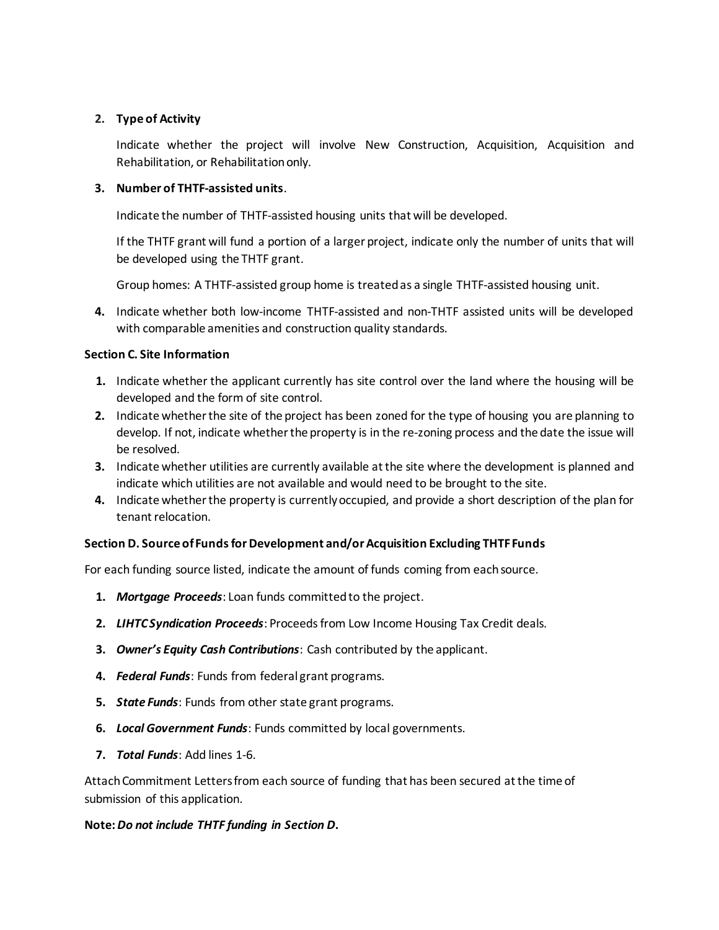## **2. Type of Activity**

Indicate whether the project will involve New Construction, Acquisition, Acquisition and Rehabilitation, or Rehabilitation only.

## **3. Number of THTF-assisted units**.

Indicate the number of THTF-assisted housing units that will be developed.

If the THTF grant will fund a portion of a larger project, indicate only the number of units that will be developed using the THTF grant.

Group homes: A THTF-assisted group home is treated as a single THTF-assisted housing unit.

**4.** Indicate whether both low-income THTF-assisted and non-THTF assisted units will be developed with comparable amenities and construction quality standards.

#### **Section C. Site Information**

- **1.** Indicate whether the applicant currently has site control over the land where the housing will be developed and the form of site control.
- **2.** Indicate whether the site of the project has been zoned for the type of housing you are planning to develop. If not, indicate whether the property is in the re-zoning process and the date the issue will be resolved.
- **3.** Indicate whether utilities are currently available at the site where the development is planned and indicate which utilities are not available and would need to be brought to the site.
- **4.** Indicate whether the property is currently occupied, and provide a short description of the plan for tenant relocation.

## **Section D. Source of Funds for Development and/or Acquisition Excluding THTF Funds**

For each funding source listed, indicate the amount of funds coming from each source.

- **1.** *Mortgage Proceeds*: Loan funds committed to the project.
- **2.** *LIHTC Syndication Proceeds*: Proceeds from Low Income Housing Tax Credit deals.
- **3.** *Owner's Equity Cash Contributions*: Cash contributed by the applicant.
- **4.** *Federal Funds*: Funds from federal grant programs.
- **5.** *State Funds*: Funds from other state grant programs.
- **6.** *Local Government Funds*: Funds committed by local governments.
- **7.** *Total Funds*: Add lines 1-6.

Attach Commitment Letters from each source of funding that has been secured at the time of submission of this application.

#### **Note:***Do not include THTF funding in Section D***.**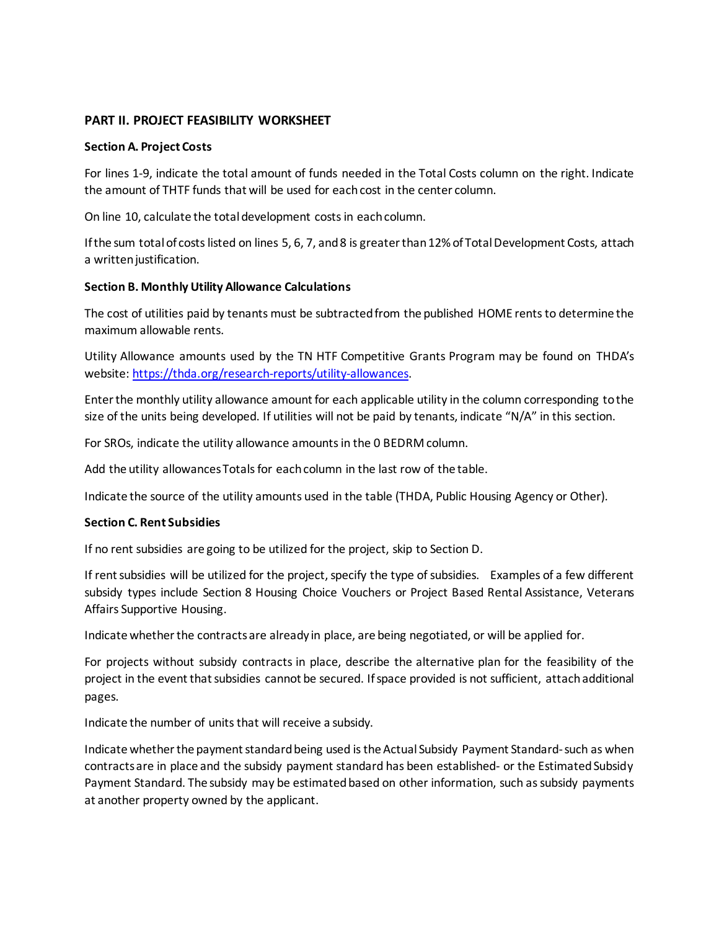#### **PART II. PROJECT FEASIBILITY WORKSHEET**

#### **Section A. Project Costs**

For lines 1-9, indicate the total amount of funds needed in the Total Costs column on the right. Indicate the amount of THTF funds that will be used for each cost in the center column.

On line 10, calculate the total development costs in each column.

If the sum total of costs listed on lines 5, 6, 7, and 8 is greater than 12% of Total Development Costs, attach a written justification.

#### **Section B. Monthly Utility Allowance Calculations**

The cost of utilities paid by tenants must be subtracted from the published HOME rents to determine the maximum allowable rents.

Utility Allowance amounts used by the TN HTF Competitive Grants Program may be found on THDA's website: [https://thda.org/research-reports/utility-allowances.](https://thda.org/research-reports/utility-allowances)

Enter the monthly utility allowance amount for each applicable utility in the column corresponding to the size of the units being developed. If utilities will not be paid by tenants, indicate "N/A" in this section.

For SROs, indicate the utility allowance amounts in the 0 BEDRM column.

Add the utility allowances Totals for each column in the last row of the table.

Indicate the source of the utility amounts used in the table (THDA, Public Housing Agency or Other).

#### **Section C. Rent Subsidies**

If no rent subsidies are going to be utilized for the project, skip to Section D.

If rent subsidies will be utilized for the project, specify the type of subsidies. Examples of a few different subsidy types include Section 8 Housing Choice Vouchers or Project Based Rental Assistance, Veterans Affairs Supportive Housing.

Indicate whether the contracts are already in place, are being negotiated, or will be applied for.

For projects without subsidy contracts in place, describe the alternative plan for the feasibility of the project in the event that subsidies cannot be secured. If space provided is not sufficient, attach additional pages.

Indicate the number of units that will receive a subsidy.

Indicate whether the payment standard being used is the Actual Subsidy Payment Standard-such as when contracts are in place and the subsidy payment standard has been established- or the Estimated Subsidy Payment Standard. The subsidy may be estimated based on other information, such as subsidy payments at another property owned by the applicant.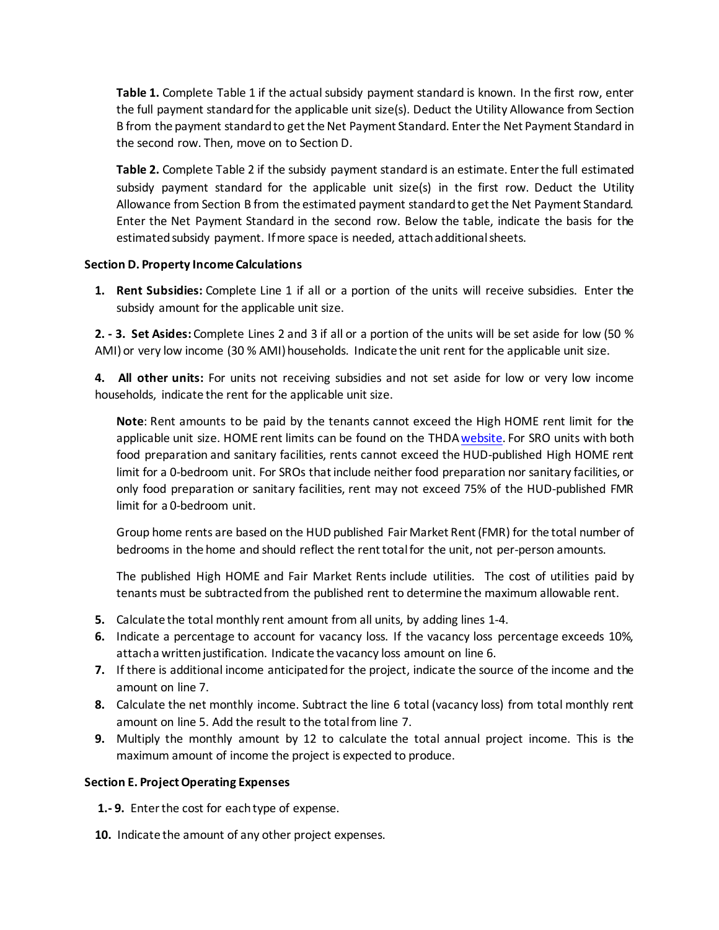**Table 1.** Complete Table 1 if the actual subsidy payment standard is known. In the first row, enter the full payment standardfor the applicable unit size(s). Deduct the Utility Allowance from Section B from the payment standard to get the Net Payment Standard. Enter the Net Payment Standard in the second row. Then, move on to Section D.

**Table 2.** Complete Table 2 if the subsidy payment standard is an estimate. Enter the full estimated subsidy payment standard for the applicable unit size(s) in the first row. Deduct the Utility Allowance from Section B from the estimated payment standard to get the Net Payment Standard. Enter the Net Payment Standard in the second row. Below the table, indicate the basis for the estimated subsidy payment. If more space is needed, attach additional sheets.

#### **Section D. Property Income Calculations**

**1. Rent Subsidies:** Complete Line 1 if all or a portion of the units will receive subsidies. Enter the subsidy amount for the applicable unit size.

**2. - 3. Set Asides:** Complete Lines 2 and 3 if all or a portion of the units will be set aside for low (50 % AMI) or very low income (30 % AMI) households. Indicate the unit rent for the applicable unit size.

**4. All other units:** For units not receiving subsidies and not set aside for low or very low income households, indicate the rent for the applicable unit size.

**Note**: Rent amounts to be paid by the tenants cannot exceed the High HOME rent limit for the applicable unit size. HOME rent limits can be found on the THD[A website.](https://s3.amazonaws.com/thda.org/2020-HOME-Rent-Limits.pdf) For SRO units with both food preparation and sanitary facilities, rents cannot exceed the HUD-published High HOME rent limit for a 0-bedroom unit. For SROs that include neither food preparation nor sanitary facilities, or only food preparation or sanitary facilities, rent may not exceed 75% of the HUD-published FMR limit for a 0-bedroom unit.

Group home rents are based on the HUD published Fair Market Rent (FMR) for the total number of bedrooms in the home and should reflect the renttotal for the unit, not per-person amounts.

The published High HOME and Fair Market Rents include utilities. The cost of utilities paid by tenants must be subtracted from the published rent to determine the maximum allowable rent.

- **5.** Calculate the total monthly rent amount from all units, by adding lines 1-4.
- **6.** Indicate a percentage to account for vacancy loss. If the vacancy loss percentage exceeds 10%, attach a written justification. Indicate the vacancy loss amount on line 6.
- **7.** If there is additional income anticipated for the project, indicate the source of the income and the amount on line 7.
- **8.** Calculate the net monthly income. Subtract the line 6 total (vacancy loss) from total monthly rent amount on line 5. Add the result to the total from line 7.
- **9.** Multiply the monthly amount by 12 to calculate the total annual project income. This is the maximum amount of income the project is expected to produce.

#### **Section E. Project Operating Expenses**

**1.- 9.** Enter the cost for each type of expense.

**10.** Indicate the amount of any other project expenses.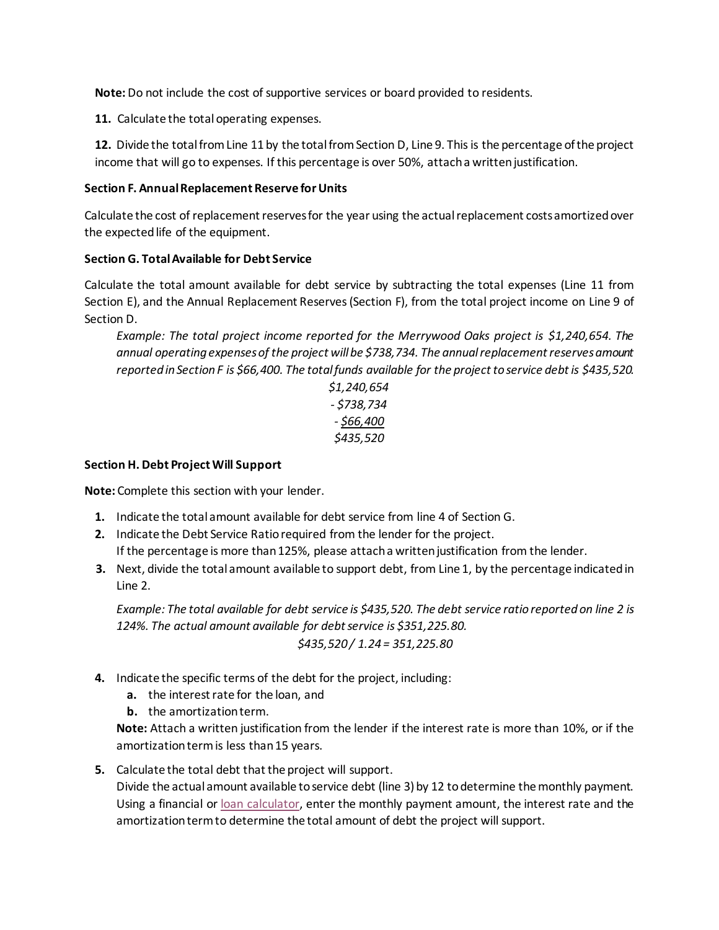**Note:**Do not include the cost of supportive services or board provided to residents.

11. Calculate the total operating expenses.

**12.** Divide the total from Line 11 by the total from Section D, Line 9. This is the percentage of the project income that will go to expenses. If this percentage is over 50%, attach a written justification.

#### **Section F. Annual Replacement Reserve for Units**

Calculate the cost of replacement reserves for the year using the actual replacement costs amortized over the expected life of the equipment.

#### **Section G. Total Available for Debt Service**

Calculate the total amount available for debt service by subtracting the total expenses (Line 11 from Section E), and the Annual Replacement Reserves (Section F), from the total project income on Line 9 of Section D.

*Example: The total project income reported for the Merrywood Oaks project is \$1,240,654. The annual operating expenses of the project will be \$738,734. The annual replacement reserves amount reported in Section F is \$66,400. The total funds available for the project to service debt is \$435,520.*

## *\$1,240,654 - \$738,734 - \$66,400 \$435,520*

#### **Section H. Debt Project Will Support**

**Note:** Complete this section with your lender.

- **1.** Indicate the total amount available for debt service from line 4 of Section G.
- **2.** Indicate the Debt Service Ratio required from the lender for the project. If the percentage is more than 125%, please attach a written justification from the lender.
- **3.** Next, divide the total amount available to support debt, from Line 1, by the percentage indicated in Line 2.

*Example: The total available for debt service is \$435,520. The debt service ratio reported on line 2 is 124%. The actual amount available for debt service is \$351,225.80. \$435,520 / 1.24 = 351,225.80*

- **4.** Indicate the specific terms of the debt for the project, including:
	- **a.** the interest rate for the loan, and
	- **b.** the amortization term.

**Note:** Attach a written justification from the lender if the interest rate is more than 10%, or if the amortization term is less than 15 years.

**5.** Calculate the total debt that the project will support.

Divide the actual amount available to service debt (line 3) by 12 to determine the monthly payment. Using a financial or [loan calculator,](https://www.calculatestuff.com/financial/loan-affordability-calculator) enter the monthly payment amount, the interest rate and the amortization term to determine the total amount of debt the project will support.